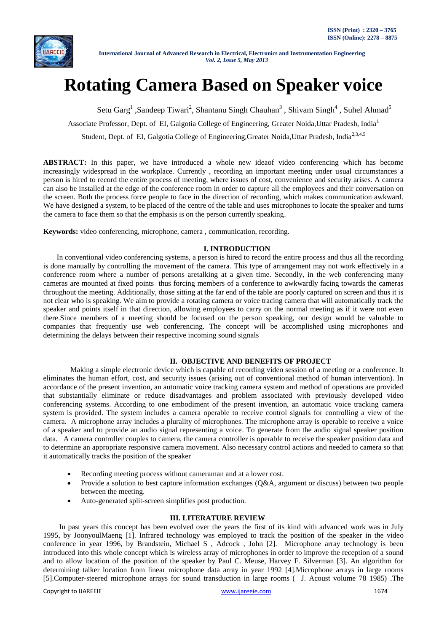

# **Rotating Camera Based on Speaker voice**

Setu Garg<sup>1</sup>, Sandeep Tiwari<sup>2</sup>, Shantanu Singh Chauhan<sup>3</sup>, Shivam Singh<sup>4</sup>, Suhel Ahmad<sup>5</sup>

Associate Professor, Dept. of EI, Galgotia College of Engineering, Greater Noida, Uttar Pradesh, India<sup>1</sup>

Student, Dept. of EI, Galgotia College of Engineering,Greater Noida,Uttar Pradesh, India<sup>2,3,4,5</sup>

**ABSTRACT:** In this paper, we have introduced a whole new ideaof video conferencing which has become increasingly widespread in the workplace. Currently , recording an important meeting under usual circumstances a person is hired to record the entire process of meeting, where issues of cost, convenience and security arises. A camera can also be installed at the edge of the conference room in order to capture all the employees and their conversation on the screen. Both the process force people to face in the direction of recording, which makes communication awkward. We have designed a system, to be placed of the centre of the table and uses microphones to locate the speaker and turns the camera to face them so that the emphasis is on the person currently speaking.

**Keywords:** video conferencing, microphone, camera , communication, recording.

### **I. INTRODUCTION**

In conventional video conferencing systems, a person is hired to record the entire process and thus all the recording is done manually by controlling the movement of the camera. This type of arrangement may not work effectively in a conference room where a number of persons aretalking at a given time. Secondly, in the web conferencing many cameras are mounted at fixed points thus forcing members of a conference to awkwardly facing towards the cameras throughout the meeting. Additionally, those sitting at the far end of the table are poorly captured on screen and thus it is not clear who is speaking. We aim to provide a rotating camera or voice tracing camera that will automatically track the speaker and points itself in that direction, allowing employees to carry on the normal meeting as if it were not even there.Since members of a meeting should be focused on the person speaking, our design would be valuable to companies that frequently use web conferencing. The concept will be accomplished using microphones and determining the delays between their respective incoming sound signals

### **II. OBJECTIVE AND BENEFITS OF PROJECT**

Making a simple electronic device which is capable of recording video session of a meeting or a conference. It eliminates the human effort, cost, and security issues (arising out of conventional method of human intervention). In accordance of the present invention, an automatic voice tracking camera system and method of operations are provided that substantially eliminate or reduce disadvantages and problem associated with previously developed video conferencing systems. According to one embodiment of the present invention, an automatic voice tracking camera system is provided. The system includes a camera operable to receive control signals for controlling a view of the camera. A microphone array includes a plurality of microphones. The microphone array is operable to receive a voice of a speaker and to provide an audio signal representing a voice. To generate from the audio signal speaker position data. A camera controller couples to camera, the camera controller is operable to receive the speaker position data and to determine an appropriate responsive camera movement. Also necessary control actions and needed to camera so that it automatically tracks the position of the speaker

- Recording meeting process without cameraman and at a lower cost.
- Provide a solution to best capture information exchanges (Q&A, argument or discuss) between two people between the meeting.
- Auto-generated split-screen simplifies post production.

### **III. LITERATURE REVIEW**

In past years this concept has been evolved over the years the first of its kind with advanced work was in July 1995, by JoonyoulMaeng [1]. Infrared technology was employed to track the position of the speaker in the video conference in year 1996, by Brandstein, Michael S , Adcock , John [2]. Microphone array technology is been introduced into this whole concept which is wireless array of microphones in order to improve the reception of a sound and to allow location of the position of the speaker by Paul C. Meuse, Harvey F. Silverman [3]. An algorithm for determining talker location from linear microphone data array in year 1992 [4].Microphone arrays in large rooms [5].Computer-steered microphone arrays for sound transduction in large rooms ( J. Acoust volume 78 1985) .The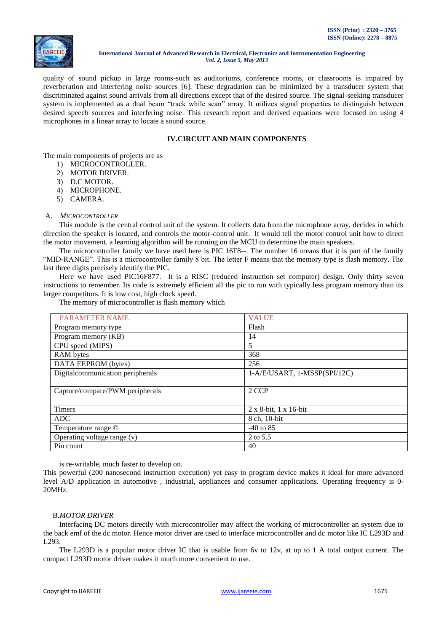

quality of sound pickup in large rooms-such as auditoriums, conference rooms, or classrooms is impaired by reverberation and interfering noise sources [6]. These degradation can be minimized by a transducer system that discriminated against sound arrivals from all directions except that of the desired source. The signal-seeking transducer system is implemented as a dual beam "track while scan" array. It utilizes signal properties to distinguish between desired speech sources and interfering noise. This research report and derived equations were focused on using 4 microphones in a linear array to locate a sound source.

# **IV.CIRCUIT AND MAIN COMPONENTS**

The main components of projects are as

- 1) MICROCONTROLLER.
- 2) MOTOR DRIVER.
- 3) D.C MOTOR.
- 4) MICROPHONE.
- 5) CAMERA.

### A. *MICROCONTROLLER*

This module is the central control unit of the system. It collects data from the microphone array, decides in which direction the speaker is located, and controls the motor-control unit. It would tell the motor control unit how to direct the motor movement. a learning algorithm will be running on the MCU to determine the main speakers.

The microcontroller family we have used here is PIC 16F8--. The number 16 means that it is part of the family "MID-RANGE". This is a microcontroller family 8 bit. The letter F means that the memory type is flash memory. The last three digits precisely identify the PIC.

Here we have used PIC16F877. It is a RISC (reduced instruction set computer) design. Only thirty seven instructions to remember. Its code is extremely efficient all the pic to run with typically less program memory than its larger competitors. It is low cost, high clock speed.

The memory of microcontroller is flash memory which

| <b>PARAMETER NAME</b>                | <b>VALUE</b>                      |  |
|--------------------------------------|-----------------------------------|--|
| Program memory type                  | Flash                             |  |
| Program memory (KB)                  | 14                                |  |
| CPU speed (MIPS)                     | 5                                 |  |
| RAM bytes                            | 368                               |  |
| DATA EEPROM (bytes)                  | 256                               |  |
| Digital<br>communication peripherals | $1-A/E/USART$ , $1-MSSP(SPI/12C)$ |  |
|                                      |                                   |  |
| Capture/compare/PWM peripherals      | 2 CCP                             |  |
|                                      |                                   |  |
| <b>Timers</b>                        | $2 \times 8$ -bit, 1 x 16-bit     |  |
| <b>ADC</b>                           | 8 ch, 10-bit                      |  |
| Temperature range ©                  | $-40$ to 85                       |  |
| Operating voltage range $(v)$        | 2 to 5.5                          |  |
| Pin count                            | 40                                |  |

is re-writable, much faster to develop on.

This powerful (200 nanosecond instruction execution) yet easy to program device makes it ideal for more advanced level A/D application in automotive , industrial, appliances and consumer applications. Operating frequency is 0- 20MHz.

### B.*MOTOR DRIVER*

Interfacing DC motors directly with microcontroller may affect the working of microcontroller an system due to the back emf of the dc motor. Hence motor driver are used to interface microcontroller and dc motor like IC L293D and L293.

The L293D is a popular motor driver IC that is usable from 6v to 12v, at up to 1 A total output current. The compact L293D motor driver makes it much more convenient to use.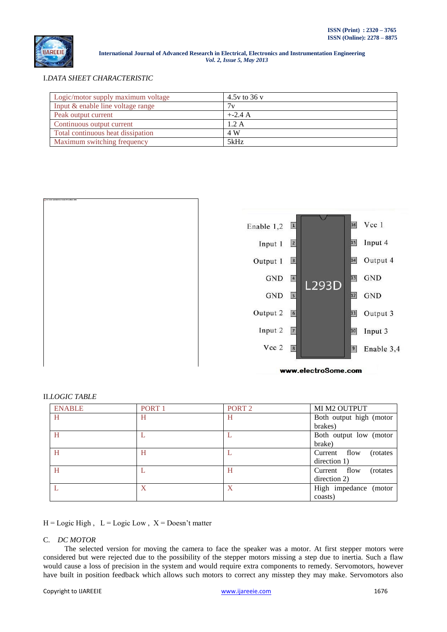

I.*DATA SHEET CHARACTERISTIC*

| Logic/motor supply maximum voltage | 4.5y to 36 y |
|------------------------------------|--------------|
| Input & enable line voltage range  | 7v           |
| Peak output current                | $+2.4 A$     |
| Continuous output current          | 1.2A         |
| Total continuous heat dissipation  | 4 W          |
| Maximum switching frequency        | 5kHz         |





### II.*LOGIC TABLE*

| <b>ENABLE</b> | PORT <sub>1</sub> | PORT <sub>2</sub> | MI M2 OUTPUT              |
|---------------|-------------------|-------------------|---------------------------|
| H             | H                 | H                 | Both output high (motor   |
|               |                   |                   | brakes)                   |
| H             |                   |                   | Both output low (motor    |
|               |                   |                   | brake)                    |
| H             | Η                 |                   | Current flow<br>(rotates) |
|               |                   |                   | direction 1)              |
| H             |                   | Н                 | Current flow<br>(rotates) |
|               |                   |                   | direction 2)              |
|               | X                 | X                 | High impedance (motor     |
|               |                   |                   | coasts)                   |

 $H = \text{Logic High}$ ,  $L = \text{Logic Low}$ ,  $X = \text{Does}$ 't matter

# C. *DC MOTOR*

The selected version for moving the camera to face the speaker was a motor. At first stepper motors were considered but were rejected due to the possibility of the stepper motors missing a step due to inertia. Such a flaw would cause a loss of precision in the system and would require extra components to remedy. Servomotors, however have built in position feedback which allows such motors to correct any misstep they may make. Servomotors also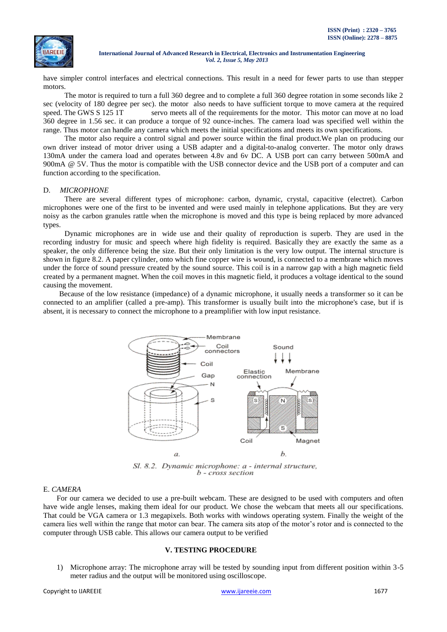

have simpler control interfaces and electrical connections. This result in a need for fewer parts to use than stepper motors.

The motor is required to turn a full 360 degree and to complete a full 360 degree rotation in some seconds like 2 sec (velocity of 180 degree per sec). the motor also needs to have sufficient torque to move camera at the required speed. The GWS S 125 1T servo meets all of the requirements for the motor. This motor can move at no load 360 degree in 1.56 sec. it can produce a torque of 92 ounce-inches. The camera load was specified well within the range. Thus motor can handle any camera which meets the initial specifications and meets its own specifications.

The motor also require a control signal and power source within the final product.We plan on producing our own driver instead of motor driver using a USB adapter and a digital-to-analog converter. The motor only draws 130mA under the camera load and operates between 4.8v and 6v DC. A USB port can carry between 500mA and 900mA @ 5V. Thus the motor is compatible with the USB connector device and the USB port of a computer and can function according to the specification.

#### D. *MICROPHONE*

There are several different types of microphone: carbon, dynamic, crystal, capacitive (electret). Carbon microphones were one of the first to be invented and were used mainly in telephone applications. But they are very noisy as the carbon granules rattle when the microphone is moved and this type is being replaced by more advanced types.

Dynamic microphones are in wide use and their quality of reproduction is superb. They are used in the recording industry for music and speech where high fidelity is required. Basically they are exactly the same as a speaker, the only difference being the size. But their only limitation is the very low output. The internal structure is shown in figure 8.2. A paper cylinder, onto which fine copper wire is wound, is connected to a membrane which moves under the force of sound pressure created by the sound source. This coil is in a narrow gap with a high magnetic field created by a permanent magnet. When the coil moves in this magnetic field, it produces a voltage identical to the sound causing the movement.

Because of the low resistance (impedance) of a dynamic microphone, it usually needs a transformer so it can be connected to an amplifier (called a pre-amp). This transformer is usually built into the microphone's case, but if is absent, it is necessary to connect the microphone to a preamplifier with low input resistance.



Sl. 8.2. Dynamic microphone: a - internal structure,  $b$  - cross section

# E. *CAMERA*

For our camera we decided to use a pre-built webcam. These are designed to be used with computers and often have wide angle lenses, making them ideal for our product. We chose the webcam that meets all our specifications. That could be VGA camera or 1.3 megapixels. Both works with windows operating system. Finally the weight of the camera lies well within the range that motor can bear. The camera sits atop of the motor's rotor and is connected to the computer through USB cable. This allows our camera output to be verified

### **V. TESTING PROCEDURE**

1) Microphone array: The microphone array will be tested by sounding input from different position within 3-5 meter radius and the output will be monitored using oscilloscope.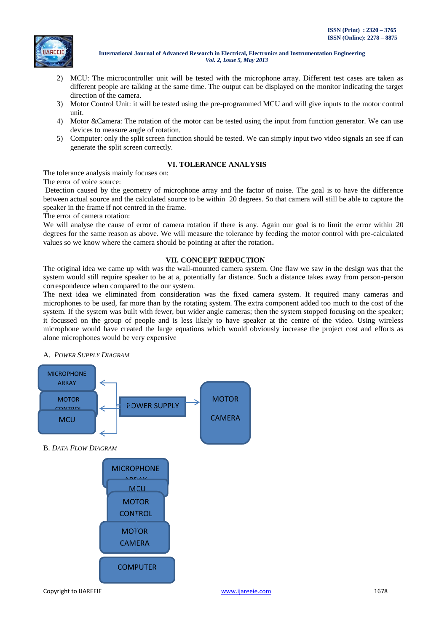

- 2) MCU: The microcontroller unit will be tested with the microphone array. Different test cases are taken as different people are talking at the same time. The output can be displayed on the monitor indicating the target direction of the camera.
- 3) Motor Control Unit: it will be tested using the pre-programmed MCU and will give inputs to the motor control unit.
- 4) Motor &Camera: The rotation of the motor can be tested using the input from function generator. We can use devices to measure angle of rotation.
- 5) Computer: only the split screen function should be tested. We can simply input two video signals an see if can generate the split screen correctly.

### **VI. TOLERANCE ANALYSIS**

The tolerance analysis mainly focuses on:

The error of voice source:

Detection caused by the geometry of microphone array and the factor of noise. The goal is to have the difference between actual source and the calculated source to be within 20 degrees. So that camera will still be able to capture the speaker in the frame if not centred in the frame.

The error of camera rotation:

We will analyse the cause of error of camera rotation if there is any. Again our goal is to limit the error within 20 degrees for the same reason as above. We will measure the tolerance by feeding the motor control with pre-calculated values so we know where the camera should be pointing at after the rotation**.**

# **VII. CONCEPT REDUCTION**

The original idea we came up with was the wall-mounted camera system. One flaw we saw in the design was that the system would still require speaker to be at a, potentially far distance. Such a distance takes away from person-person correspondence when compared to the our system.

The next idea we eliminated from consideration was the fixed camera system. It required many cameras and microphones to be used, far more than by the rotating system. The extra component added too much to the cost of the system. If the system was built with fewer, but wider angle cameras; then the system stopped focusing on the speaker; it focussed on the group of people and is less likely to have speaker at the centre of the video. Using wireless microphone would have created the large equations which would obviously increase the project cost and efforts as alone microphones would be very expensive

### A. *POWER SUPPLY DIAGRAM*

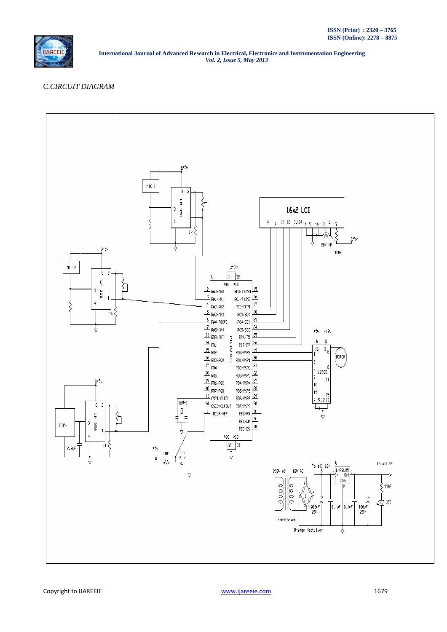

# C.*CIRCUIT DIAGRAM*

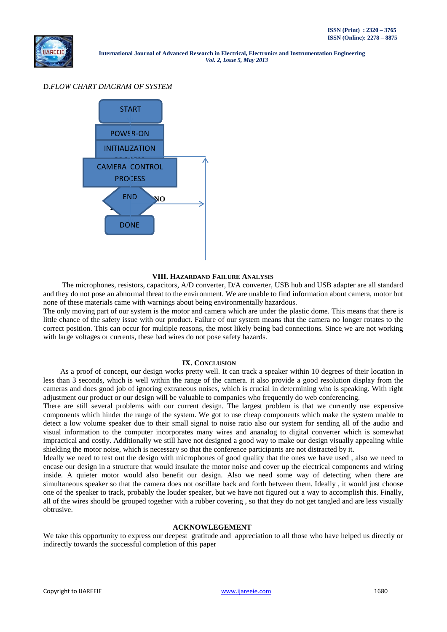### D.*FLOW CHART DIAGRAM OF SYSTEM*



#### **VIII. HAZARDAND FAILURE ANALYSIS**

 The microphones, resistors, capacitors, A/D converter, D/A converter, USB hub and USB adapter are all standard and they do not pose an abnormal threat to the environment. We are unable to find information about camera, motor but none of these materials came with warnings about being environmentally hazardous.

The only moving part of our system is the motor and camera which are under the plastic dome. This means that there is little chance of the safety issue with our product. Failure of our system means that the camera no longer rotates to the correct position. This can occur for multiple reasons, the most likely being bad connections. Since we are not working with large voltages or currents, these bad wires do not pose safety hazards.

#### **IX. CONCLUSION**

 As a proof of concept, our design works pretty well. It can track a speaker within 10 degrees of their location in less than 3 seconds, which is well within the range of the camera. it also provide a good resolution display from the cameras and does good job of ignoring extraneous noises, which is crucial in determining who is speaking. With right adjustment our product or our design will be valuable to companies who frequently do web conferencing.

There are still several problems with our current design. The largest problem is that we currently use expensive components which hinder the range of the system. We got to use cheap components which make the system unable to detect a low volume speaker due to their small signal to noise ratio also our system for sending all of the audio and visual information to the computer incorporates many wires and ananalog to digital converter which is somewhat impractical and costly. Additionally we still have not designed a good way to make our design visually appealing while shielding the motor noise, which is necessary so that the conference participants are not distracted by it.

Ideally we need to test out the design with microphones of good quality that the ones we have used , also we need to encase our design in a structure that would insulate the motor noise and cover up the electrical components and wiring inside. A quieter motor would also benefit our design. Also we need some way of detecting when there are simultaneous speaker so that the camera does not oscillate back and forth between them. Ideally , it would just choose one of the speaker to track, probably the louder speaker, but we have not figured out a way to accomplish this. Finally, all of the wires should be grouped together with a rubber covering , so that they do not get tangled and are less visually obtrusive.

#### **ACKNOWLEGEMENT**

We take this opportunity to express our deepest gratitude and appreciation to all those who have helped us directly or indirectly towards the successful completion of this paper